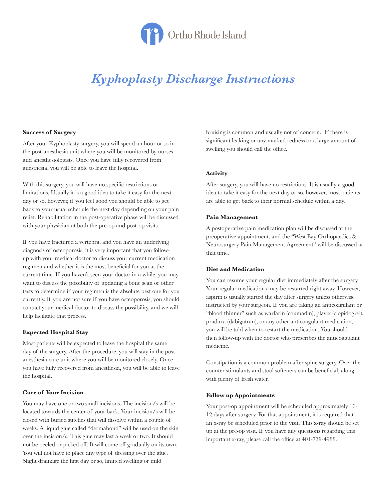

# *Kyphoplasty Discharge Instructions*

#### **Success of Surgery**

After your Kyphoplasty surgery, you will spend an hour or so in the post-anesthesia unit where you will be monitored by nurses and anesthesiologists. Once you have fully recovered from anesthesia, you will be able to leave the hospital.

With this surgery, you will have no specific restrictions or limitations. Usually it is a good idea to take it easy for the next day or so, however, if you feel good you should be able to get back to your usual schedule the next day depending on your pain relief. Rehabilitation in the post-operative phase will be discussed with your physician at both the pre-op and post-op visits.

If you have fractured a vertebra, and you have an underlying diagnosis of osteoporosis, it is very important that you followup with your medical doctor to discuss your current medication regimen and whether it is the most beneficial for you at the current time. If you haven't seen your doctor in a while, you may want to discuss the possibility of updating a bone scan or other tests to determine if your regimen is the absolute best one for you currently. If you are not sure if you have osteoporosis, you should contact your medical doctor to discuss the possibility, and we will help facilitate that process.

## **Expected Hospital Stay**

Most patients will be expected to leave the hospital the same day of the surgery. After the procedure, you will stay in the postanesthesia care unit where you will be monitored closely. Once you have fully recovered from anesthesia, you will be able to leave the hospital.

## **Care of Your Incision**

You may have one or two small incisions. The incision/s will be located towards the center of your back. Your incision/s will be closed with buried stitches that will dissolve within a couple of weeks. A liquid glue called "dermabond" will be used on the skin over the incision/s. This glue may last a week or two. It should not be peeled or picked off. It will come off gradually on its own. You will not have to place any type of dressing over the glue. Slight drainage the first day or so, limited swelling or mild

bruising is common and usually not of concern. If there is significant leaking or any marked redness or a large amount of swelling you should call the office.

# **Activity**

After surgery, you will have no restrictions. It is usually a good idea to take it easy for the next day or so, however, most patients are able to get back to their normal schedule within a day.

# **Pain Management**

A postoperative pain medication plan will be discussed at the preoperative appointment, and the "West Bay Orthopaedics & Neurosurgery Pain Management Agreement" will be discussed at that time.

## **Diet and Medication**

You can resume your regular diet immediately after the surgery. Your regular medications may be restarted right away. However, aspirin is usually started the day after surgery unless otherwise instructed by your surgeon. If you are taking an anticoagulant or "blood thinner" such as warfarin (coumadin), plavix (clopidogrel), pradaxa (dabigatran), or any other anticoagulant medication, you will be told when to restart the medication. You should then follow-up with the doctor who prescribes the anticoagulant medicine.

Constipation is a common problem after spine surgery. Over the counter stimulants and stool softeners can be beneficial, along with plenty of fresh water.

## **Follow up Appointments**

Your post-op appointment will be scheduled approximately 10- 12 days after surgery. For that appointment, it is required that an x-ray be scheduled prior to the visit. This x-ray should be set up at the pre-op visit. If you have any questions regarding this important x-ray, please call the office at 401-739-4988.